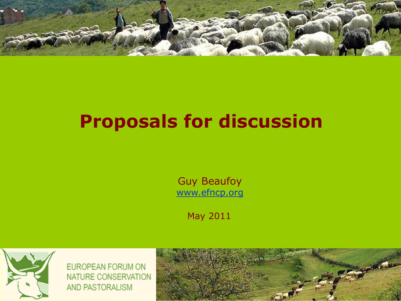

# **Proposals for discussion**

Guy Beaufoy [www.efncp.org](http://www.efncp.org/)

May 2011



EUROPEAN FORUM ON NATURE CONSERVATION AND PASTORALISM

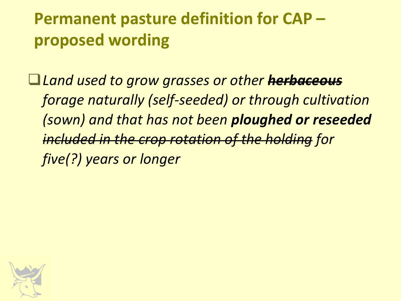### **Permanent pasture definition for CAP – proposed wording**

*Land used to grow grasses or other herbaceous forage naturally (self-seeded) or through cultivation (sown) and that has not been ploughed or reseeded included in the crop rotation of the holding for five(?) years or longer*

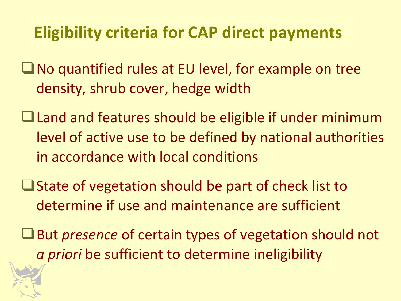### **Eligibility criteria for CAP direct payments**

- $\Box$  No quantified rules at EU level, for example on tree density, shrub cover, hedge width
- $\Box$  Land and features should be eligible if under minimum level of active use to be defined by national authorities in accordance with local conditions
- $\Box$  State of vegetation should be part of check list to determine if use and maintenance are sufficient
- ■But *presence* of certain types of vegetation should not *a priori* be sufficient to determine ineligibility

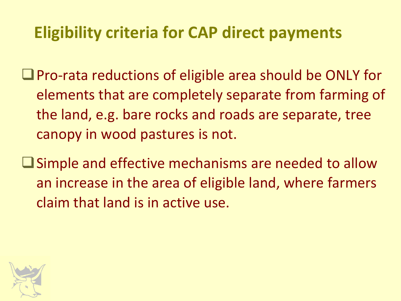#### **Eligibility criteria for CAP direct payments**

■ Pro-rata reductions of eligible area should be ONLY for elements that are completely separate from farming of the land, e.g. bare rocks and roads are separate, tree canopy in wood pastures is not.

Simple and effective mechanisms are needed to allow an increase in the area of eligible land, where farmers claim that land is in active use.

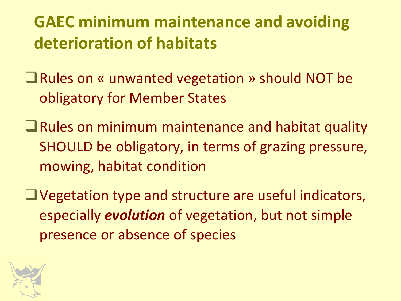### **GAEC minimum maintenance and avoiding deterioration of habitats**

■ Rules on « unwanted vegetation » should NOT be obligatory for Member States

 $\Box$  Rules on minimum maintenance and habitat quality SHOULD be obligatory, in terms of grazing pressure, mowing, habitat condition

Vegetation type and structure are useful indicators, especially *evolution* of vegetation, but not simple presence or absence of species

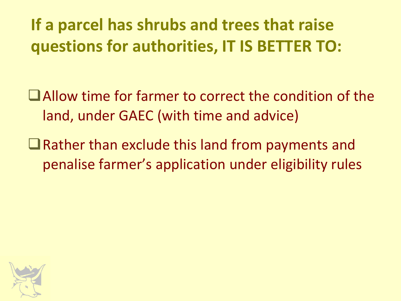### **If a parcel has shrubs and trees that raise questions for authorities, IT IS BETTER TO:**

Allow time for farmer to correct the condition of the land, under GAEC (with time and advice)

 $\Box$  Rather than exclude this land from payments and penalise farmer's application under eligibility rules

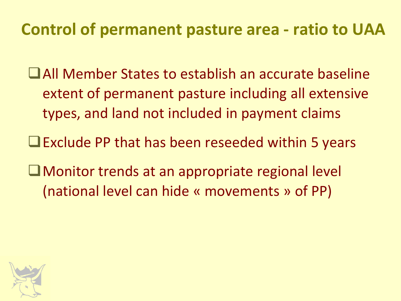#### **Control of permanent pasture area - ratio to UAA**

- All Member States to establish an accurate baseline extent of permanent pasture including all extensive types, and land not included in payment claims
- $\Box$  Exclude PP that has been reseeded within 5 years
- Monitor trends at an appropriate regional level (national level can hide « movements » of PP)

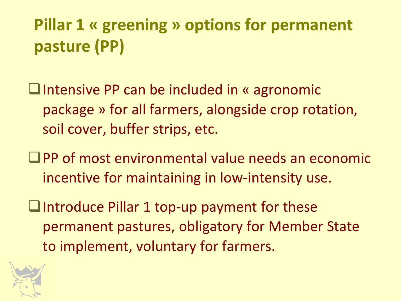## **Pillar 1 « greening » options for permanent pasture (PP)**

- □Intensive PP can be included in « agronomic package » for all farmers, alongside crop rotation, soil cover, buffer strips, etc.
- $\Box$  PP of most environmental value needs an economic incentive for maintaining in low-intensity use.
- $\Box$ Introduce Pillar 1 top-up payment for these permanent pastures, obligatory for Member State to implement, voluntary for farmers.

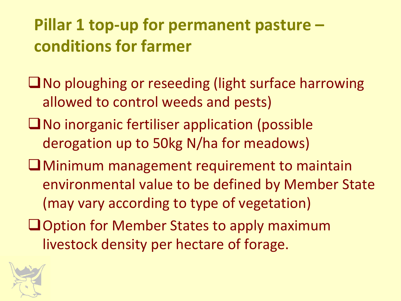### **Pillar 1 top-up for permanent pasture – conditions for farmer**

- ■No ploughing or reseeding (light surface harrowing allowed to control weeds and pests)
- $\square$  No inorganic fertiliser application (possible derogation up to 50kg N/ha for meadows)
- Minimum management requirement to maintain environmental value to be defined by Member State (may vary according to type of vegetation)
- **Q**Option for Member States to apply maximum livestock density per hectare of forage.